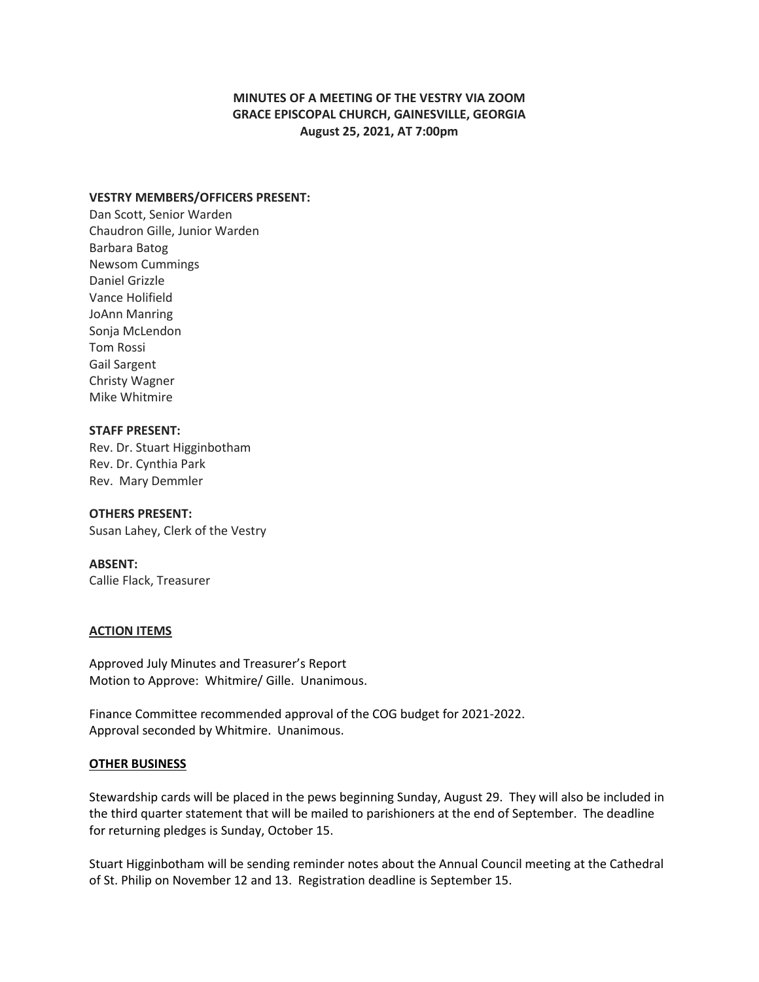## **MINUTES OF A MEETING OF THE VESTRY VIA ZOOM GRACE EPISCOPAL CHURCH, GAINESVILLE, GEORGIA August 25, 2021, AT 7:00pm**

### **VESTRY MEMBERS/OFFICERS PRESENT:**

Dan Scott, Senior Warden Chaudron Gille, Junior Warden Barbara Batog Newsom Cummings Daniel Grizzle Vance Holifield JoAnn Manring Sonja McLendon Tom Rossi Gail Sargent Christy Wagner Mike Whitmire

## **STAFF PRESENT:**

Rev. Dr. Stuart Higginbotham Rev. Dr. Cynthia Park Rev. Mary Demmler

# **OTHERS PRESENT:**

Susan Lahey, Clerk of the Vestry

### **ABSENT:**

Callie Flack, Treasurer

### **ACTION ITEMS**

Approved July Minutes and Treasurer's Report Motion to Approve: Whitmire/ Gille. Unanimous.

Finance Committee recommended approval of the COG budget for 2021-2022. Approval seconded by Whitmire. Unanimous.

### **OTHER BUSINESS**

Stewardship cards will be placed in the pews beginning Sunday, August 29. They will also be included in the third quarter statement that will be mailed to parishioners at the end of September. The deadline for returning pledges is Sunday, October 15.

Stuart Higginbotham will be sending reminder notes about the Annual Council meeting at the Cathedral of St. Philip on November 12 and 13. Registration deadline is September 15.